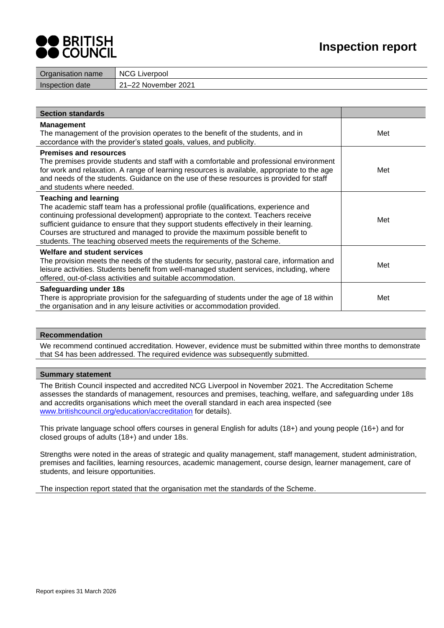

| Organisation name | <b>NCG Liverpool</b> |
|-------------------|----------------------|
| Inspection date   | 21–22 November 2021  |
|                   |                      |

| <b>Section standards</b>                                                                                                                                                                                                                                                                                                                                                                                                                                     |     |
|--------------------------------------------------------------------------------------------------------------------------------------------------------------------------------------------------------------------------------------------------------------------------------------------------------------------------------------------------------------------------------------------------------------------------------------------------------------|-----|
| <b>Management</b><br>The management of the provision operates to the benefit of the students, and in<br>accordance with the provider's stated goals, values, and publicity.                                                                                                                                                                                                                                                                                  | Met |
| <b>Premises and resources</b><br>The premises provide students and staff with a comfortable and professional environment<br>for work and relaxation. A range of learning resources is available, appropriate to the age<br>and needs of the students. Guidance on the use of these resources is provided for staff<br>and students where needed.                                                                                                             | Met |
| <b>Teaching and learning</b><br>The academic staff team has a professional profile (qualifications, experience and<br>continuing professional development) appropriate to the context. Teachers receive<br>sufficient guidance to ensure that they support students effectively in their learning.<br>Courses are structured and managed to provide the maximum possible benefit to<br>students. The teaching observed meets the requirements of the Scheme. | Met |
| Welfare and student services<br>The provision meets the needs of the students for security, pastoral care, information and<br>leisure activities. Students benefit from well-managed student services, including, where<br>offered, out-of-class activities and suitable accommodation.                                                                                                                                                                      | Met |
| Safeguarding under 18s<br>There is appropriate provision for the safeguarding of students under the age of 18 within<br>the organisation and in any leisure activities or accommodation provided.                                                                                                                                                                                                                                                            | Met |

#### **Recommendation**

We recommend continued accreditation. However, evidence must be submitted within three months to demonstrate that S4 has been addressed. The required evidence was subsequently submitted.

# **Summary statement**

The British Council inspected and accredited NCG Liverpool in November 2021. The Accreditation Scheme assesses the standards of management, resources and premises, teaching, welfare, and safeguarding under 18s and accredits organisations which meet the overall standard in each area inspected (see [www.britishcouncil.org/education/accreditation](http://www.britishcouncil.org/education/accreditation) for details).

This private language school offers courses in general English for adults (18+) and young people (16+) and for closed groups of adults (18+) and under 18s.

Strengths were noted in the areas of strategic and quality management, staff management, student administration, premises and facilities, learning resources, academic management, course design, learner management, care of students, and leisure opportunities.

The inspection report stated that the organisation met the standards of the Scheme.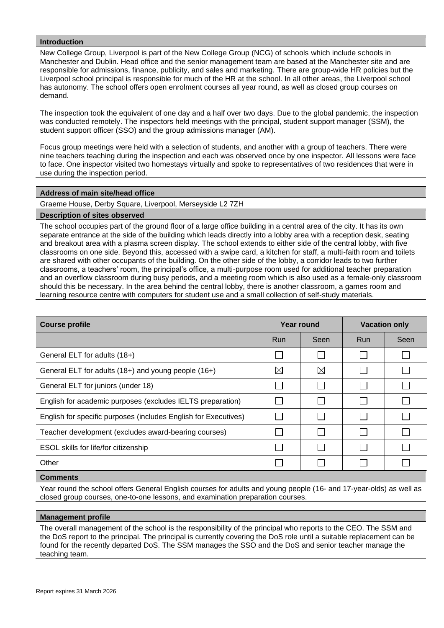# **Introduction**

New College Group, Liverpool is part of the New College Group (NCG) of schools which include schools in Manchester and Dublin. Head office and the senior management team are based at the Manchester site and are responsible for admissions, finance, publicity, and sales and marketing. There are group-wide HR policies but the Liverpool school principal is responsible for much of the HR at the school. In all other areas, the Liverpool school has autonomy. The school offers open enrolment courses all year round, as well as closed group courses on demand.

The inspection took the equivalent of one day and a half over two days. Due to the global pandemic, the inspection was conducted remotely. The inspectors held meetings with the principal, student support manager (SSM), the student support officer (SSO) and the group admissions manager (AM).

Focus group meetings were held with a selection of students, and another with a group of teachers. There were nine teachers teaching during the inspection and each was observed once by one inspector. All lessons were face to face. One inspector visited two homestays virtually and spoke to representatives of two residences that were in use during the inspection period.

#### **Address of main site/head office**

Graeme House, Derby Square, Liverpool, Merseyside L2 7ZH

#### **Description of sites observed**

The school occupies part of the ground floor of a large office building in a central area of the city. It has its own separate entrance at the side of the building which leads directly into a lobby area with a reception desk, seating and breakout area with a plasma screen display. The school extends to either side of the central lobby, with five classrooms on one side. Beyond this, accessed with a swipe card, a kitchen for staff, a multi-faith room and toilets are shared with other occupants of the building. On the other side of the lobby, a corridor leads to two further classrooms, a teachers' room, the principal's office, a multi-purpose room used for additional teacher preparation and an overflow classroom during busy periods, and a meeting room which is also used as a female-only classroom should this be necessary. In the area behind the central lobby, there is another classroom, a games room and learning resource centre with computers for student use and a small collection of self-study materials.

| <b>Course profile</b>                                           |             | Year round  | <b>Vacation only</b> |      |
|-----------------------------------------------------------------|-------------|-------------|----------------------|------|
|                                                                 | <b>Run</b>  | Seen        | <b>Run</b>           | Seen |
| General ELT for adults (18+)                                    |             |             |                      |      |
| General ELT for adults (18+) and young people (16+)             | $\boxtimes$ | $\boxtimes$ |                      |      |
| General ELT for juniors (under 18)                              |             |             |                      |      |
| English for academic purposes (excludes IELTS preparation)      |             |             |                      |      |
| English for specific purposes (includes English for Executives) |             |             |                      |      |
| Teacher development (excludes award-bearing courses)            |             |             |                      |      |
| ESOL skills for life/for citizenship                            |             |             |                      |      |
| Other                                                           |             |             |                      |      |
|                                                                 |             |             |                      |      |

#### **Comments**

Year round the school offers General English courses for adults and young people (16- and 17-year-olds) as well as closed group courses, one-to-one lessons, and examination preparation courses.

#### **Management profile**

The overall management of the school is the responsibility of the principal who reports to the CEO. The SSM and the DoS report to the principal. The principal is currently covering the DoS role until a suitable replacement can be found for the recently departed DoS. The SSM manages the SSO and the DoS and senior teacher manage the teaching team.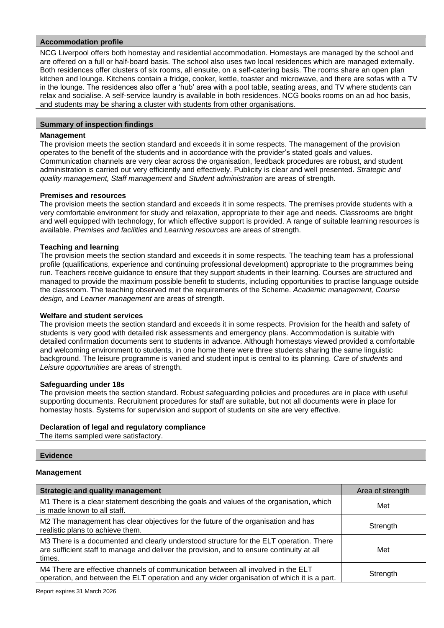# **Accommodation profile**

NCG Liverpool offers both homestay and residential accommodation. Homestays are managed by the school and are offered on a full or half-board basis. The school also uses two local residences which are managed externally. Both residences offer clusters of six rooms, all ensuite, on a self-catering basis. The rooms share an open plan kitchen and lounge. Kitchens contain a fridge, cooker, kettle, toaster and microwave, and there are sofas with a TV in the lounge. The residences also offer a 'hub' area with a pool table, seating areas, and TV where students can relax and socialise. A self-service laundry is available in both residences. NCG books rooms on an ad hoc basis, and students may be sharing a cluster with students from other organisations.

# **Summary of inspection findings**

# **Management**

The provision meets the section standard and exceeds it in some respects. The management of the provision operates to the benefit of the students and in accordance with the provider's stated goals and values. Communication channels are very clear across the organisation, feedback procedures are robust, and student administration is carried out very efficiently and effectively. Publicity is clear and well presented. *Strategic and quality management, Staff management* and *Student administration* are areas of strength.

#### **Premises and resources**

The provision meets the section standard and exceeds it in some respects. The premises provide students with a very comfortable environment for study and relaxation, appropriate to their age and needs. Classrooms are bright and well equipped with technology, for which effective support is provided. A range of suitable learning resources is available. *Premises and facilities* and *Learning resources* are areas of strength.

# **Teaching and learning**

The provision meets the section standard and exceeds it in some respects. The teaching team has a professional profile (qualifications, experience and continuing professional development) appropriate to the programmes being run. Teachers receive guidance to ensure that they support students in their learning. Courses are structured and managed to provide the maximum possible benefit to students, including opportunities to practise language outside the classroom. The teaching observed met the requirements of the Scheme. *Academic management, Course design,* and *Learner management* are areas of strength.

#### **Welfare and student services**

The provision meets the section standard and exceeds it in some respects. Provision for the health and safety of students is very good with detailed risk assessments and emergency plans. Accommodation is suitable with detailed confirmation documents sent to students in advance. Although homestays viewed provided a comfortable and welcoming environment to students, in one home there were three students sharing the same linguistic background. The leisure programme is varied and student input is central to its planning. *Care of students* and *Leisure opportunities* are areas of strength.

#### **Safeguarding under 18s**

The provision meets the section standard. Robust safeguarding policies and procedures are in place with useful supporting documents. Recruitment procedures for staff are suitable, but not all documents were in place for homestay hosts. Systems for supervision and support of students on site are very effective.

# **Declaration of legal and regulatory compliance**

The items sampled were satisfactory.

# **Evidence Management**

| <b>Strategic and quality management</b>                                                                                                                                                       | Area of strength |
|-----------------------------------------------------------------------------------------------------------------------------------------------------------------------------------------------|------------------|
| M1 There is a clear statement describing the goals and values of the organisation, which<br>is made known to all staff.                                                                       | Met              |
| M2 The management has clear objectives for the future of the organisation and has<br>realistic plans to achieve them.                                                                         | Strength         |
| M3 There is a documented and clearly understood structure for the ELT operation. There<br>are sufficient staff to manage and deliver the provision, and to ensure continuity at all<br>times. | Met              |
| M4 There are effective channels of communication between all involved in the ELT<br>operation, and between the ELT operation and any wider organisation of which it is a part.                | Strength         |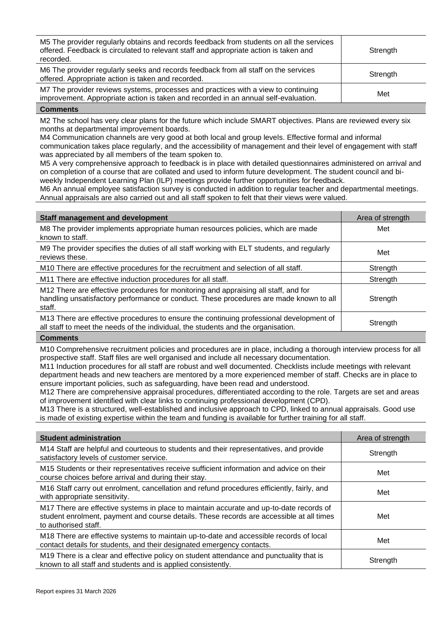| M5 The provider regularly obtains and records feedback from students on all the services<br>offered. Feedback is circulated to relevant staff and appropriate action is taken and<br>recorded. | Strength |
|------------------------------------------------------------------------------------------------------------------------------------------------------------------------------------------------|----------|
| M6 The provider regularly seeks and records feedback from all staff on the services<br>offered. Appropriate action is taken and recorded.                                                      | Strength |
| M7 The provider reviews systems, processes and practices with a view to continuing<br>improvement. Appropriate action is taken and recorded in an annual self-evaluation.                      | Met      |

M2 The school has very clear plans for the future which include SMART objectives. Plans are reviewed every six months at departmental improvement boards.

M4 Communication channels are very good at both local and group levels. Effective formal and informal communication takes place regularly, and the accessibility of management and their level of engagement with staff was appreciated by all members of the team spoken to.

M5 A very comprehensive approach to feedback is in place with detailed questionnaires administered on arrival and on completion of a course that are collated and used to inform future development. The student council and biweekly Independent Learning Plan (ILP) meetings provide further opportunities for feedback.

M6 An annual employee satisfaction survey is conducted in addition to regular teacher and departmental meetings. Annual appraisals are also carried out and all staff spoken to felt that their views were valued.

| Staff management and development                                                                                                                                                        | Area of strength |
|-----------------------------------------------------------------------------------------------------------------------------------------------------------------------------------------|------------------|
| M8 The provider implements appropriate human resources policies, which are made<br>known to staff.                                                                                      | Met              |
| M9 The provider specifies the duties of all staff working with ELT students, and regularly<br>reviews these.                                                                            | Met              |
| M10 There are effective procedures for the recruitment and selection of all staff.                                                                                                      | Strength         |
| M11 There are effective induction procedures for all staff.                                                                                                                             | Strength         |
| M12 There are effective procedures for monitoring and appraising all staff, and for<br>handling unsatisfactory performance or conduct. These procedures are made known to all<br>staff. | Strength         |
| M13 There are effective procedures to ensure the continuing professional development of<br>all staff to meet the needs of the individual, the students and the organisation.            | Strength         |
| $C$ $m$ $m$ $m$ $m$ $m$ $m$ $m$ $m$ $m$ $m$ $m$ $m$ $m$ $m$ $m$ $m$ $m$ $m$ $m$ $m$ $m$ $m$ $m$ $m$                                                                                     |                  |

#### **Comme**

M10 Comprehensive recruitment policies and procedures are in place, including a thorough interview process for all prospective staff. Staff files are well organised and include all necessary documentation.

M11 Induction procedures for all staff are robust and well documented. Checklists include meetings with relevant department heads and new teachers are mentored by a more experienced member of staff. Checks are in place to ensure important policies, such as safeguarding, have been read and understood.

M12 There are comprehensive appraisal procedures, differentiated according to the role. Targets are set and areas of improvement identified with clear links to continuing professional development (CPD).

M13 There is a structured, well-established and inclusive approach to CPD, linked to annual appraisals. Good use is made of existing expertise within the team and funding is available for further training for all staff.

| <b>Student administration</b>                                                                                                                                                                               | Area of strength |
|-------------------------------------------------------------------------------------------------------------------------------------------------------------------------------------------------------------|------------------|
| M14 Staff are helpful and courteous to students and their representatives, and provide<br>satisfactory levels of customer service.                                                                          | Strength         |
| M15 Students or their representatives receive sufficient information and advice on their<br>course choices before arrival and during their stay.                                                            | Met              |
| M16 Staff carry out enrolment, cancellation and refund procedures efficiently, fairly, and<br>with appropriate sensitivity.                                                                                 | Met              |
| M17 There are effective systems in place to maintain accurate and up-to-date records of<br>student enrolment, payment and course details. These records are accessible at all times<br>to authorised staff. | Met              |
| M18 There are effective systems to maintain up-to-date and accessible records of local<br>contact details for students, and their designated emergency contacts.                                            | Met              |
| M19 There is a clear and effective policy on student attendance and punctuality that is<br>known to all staff and students and is applied consistently.                                                     | Strength         |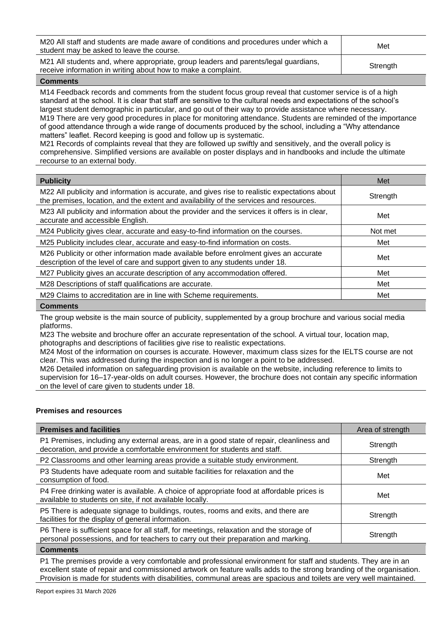| M20 All staff and students are made aware of conditions and procedures under which a<br>student may be asked to leave the course.                    | Met      |
|------------------------------------------------------------------------------------------------------------------------------------------------------|----------|
| M21 All students and, where appropriate, group leaders and parents/legal guardians,<br>receive information in writing about how to make a complaint. | Strength |

M14 Feedback records and comments from the student focus group reveal that customer service is of a high standard at the school. It is clear that staff are sensitive to the cultural needs and expectations of the school's largest student demographic in particular, and go out of their way to provide assistance where necessary. M19 There are very good procedures in place for monitoring attendance. Students are reminded of the importance of good attendance through a wide range of documents produced by the school, including a "Why attendance matters" leaflet. Record keeping is good and follow up is systematic.

M21 Records of complaints reveal that they are followed up swiftly and sensitively, and the overall policy is comprehensive. Simplified versions are available on poster displays and in handbooks and include the ultimate recourse to an external body.

| <b>Publicity</b>                                                                                                                                                                        | Met      |
|-----------------------------------------------------------------------------------------------------------------------------------------------------------------------------------------|----------|
| M22 All publicity and information is accurate, and gives rise to realistic expectations about<br>the premises, location, and the extent and availability of the services and resources. | Strength |
| M23 All publicity and information about the provider and the services it offers is in clear,<br>accurate and accessible English.                                                        | Met      |
| M24 Publicity gives clear, accurate and easy-to-find information on the courses.                                                                                                        | Not met  |
| M25 Publicity includes clear, accurate and easy-to-find information on costs.                                                                                                           | Met      |
| M26 Publicity or other information made available before enrolment gives an accurate<br>description of the level of care and support given to any students under 18.                    | Met      |
| M27 Publicity gives an accurate description of any accommodation offered.                                                                                                               | Met      |
| M28 Descriptions of staff qualifications are accurate.                                                                                                                                  | Met      |
| M29 Claims to accreditation are in line with Scheme requirements.                                                                                                                       | Met      |
|                                                                                                                                                                                         |          |

#### **Comments**

The group website is the main source of publicity, supplemented by a group brochure and various social media platforms.

M23 The website and brochure offer an accurate representation of the school. A virtual tour, location map, photographs and descriptions of facilities give rise to realistic expectations.

M24 Most of the information on courses is accurate. However, maximum class sizes for the IELTS course are not clear. This was addressed during the inspection and is no longer a point to be addressed.

M26 Detailed information on safeguarding provision is available on the website, including reference to limits to supervision for 16–17-year-olds on adult courses. However, the brochure does not contain any specific information on the level of care given to students under 18.

# **Premises and resources**

| <b>Premises and facilities</b>                                                                                                                                                | Area of strength |
|-------------------------------------------------------------------------------------------------------------------------------------------------------------------------------|------------------|
| P1 Premises, including any external areas, are in a good state of repair, cleanliness and<br>decoration, and provide a comfortable environment for students and staff.        | Strength         |
| P2 Classrooms and other learning areas provide a suitable study environment.                                                                                                  | Strength         |
| P3 Students have adequate room and suitable facilities for relaxation and the<br>consumption of food.                                                                         | Met              |
| P4 Free drinking water is available. A choice of appropriate food at affordable prices is<br>available to students on site, if not available locally.                         | Met              |
| P5 There is adequate signage to buildings, routes, rooms and exits, and there are<br>facilities for the display of general information.                                       | Strength         |
| P6 There is sufficient space for all staff, for meetings, relaxation and the storage of<br>personal possessions, and for teachers to carry out their preparation and marking. | Strength         |

# **Comments**

P1 The premises provide a very comfortable and professional environment for staff and students. They are in an excellent state of repair and commissioned artwork on feature walls adds to the strong branding of the organisation. Provision is made for students with disabilities, communal areas are spacious and toilets are very well maintained.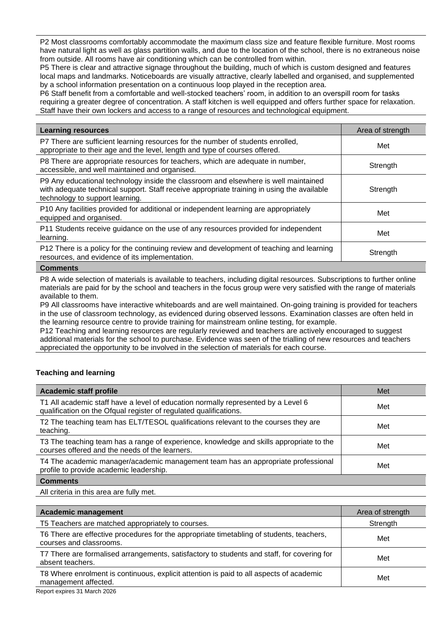P2 Most classrooms comfortably accommodate the maximum class size and feature flexible furniture. Most rooms have natural light as well as glass partition walls, and due to the location of the school, there is no extraneous noise from outside. All rooms have air conditioning which can be controlled from within.

P5 There is clear and attractive signage throughout the building, much of which is custom designed and features local maps and landmarks. Noticeboards are visually attractive, clearly labelled and organised, and supplemented by a school information presentation on a continuous loop played in the reception area.

P6 Staff benefit from a comfortable and well-stocked teachers' room, in addition to an overspill room for tasks requiring a greater degree of concentration. A staff kitchen is well equipped and offers further space for relaxation. Staff have their own lockers and access to a range of resources and technological equipment.

| <b>Learning resources</b>                                                                                                                                                                                            | Area of strength |
|----------------------------------------------------------------------------------------------------------------------------------------------------------------------------------------------------------------------|------------------|
| P7 There are sufficient learning resources for the number of students enrolled,<br>appropriate to their age and the level, length and type of courses offered.                                                       | Met              |
| P8 There are appropriate resources for teachers, which are adequate in number,<br>accessible, and well maintained and organised.                                                                                     | Strength         |
| P9 Any educational technology inside the classroom and elsewhere is well maintained<br>with adequate technical support. Staff receive appropriate training in using the available<br>technology to support learning. | Strength         |
| P10 Any facilities provided for additional or independent learning are appropriately<br>equipped and organised.                                                                                                      | Met              |
| P11 Students receive guidance on the use of any resources provided for independent<br>learning.                                                                                                                      | Met              |
| P12 There is a policy for the continuing review and development of teaching and learning<br>resources, and evidence of its implementation.                                                                           | Strength         |
| $P$ $\alpha$ mm $\alpha$ nto                                                                                                                                                                                         |                  |

#### **Comments**

P8 A wide selection of materials is available to teachers, including digital resources. Subscriptions to further online materials are paid for by the school and teachers in the focus group were very satisfied with the range of materials available to them.

P9 All classrooms have interactive whiteboards and are well maintained. On-going training is provided for teachers in the use of classroom technology, as evidenced during observed lessons. Examination classes are often held in the learning resource centre to provide training for mainstream online testing, for example.

P12 Teaching and learning resources are regularly reviewed and teachers are actively encouraged to suggest additional materials for the school to purchase. Evidence was seen of the trialling of new resources and teachers appreciated the opportunity to be involved in the selection of materials for each course.

# **Teaching and learning**

| <b>Academic staff profile</b>                                                                                                                          | Met |
|--------------------------------------------------------------------------------------------------------------------------------------------------------|-----|
| T1 All academic staff have a level of education normally represented by a Level 6<br>qualification on the Ofqual register of regulated qualifications. | Met |
| T2 The teaching team has ELT/TESOL qualifications relevant to the courses they are<br>teaching.                                                        | Met |
| T3 The teaching team has a range of experience, knowledge and skills appropriate to the<br>courses offered and the needs of the learners.              | Met |
| T4 The academic manager/academic management team has an appropriate professional<br>profile to provide academic leadership.                            | Met |
| <b>Comments</b>                                                                                                                                        |     |

All criteria in this area are fully met.

| <b>Academic management</b>                                                                                          | Area of strength |
|---------------------------------------------------------------------------------------------------------------------|------------------|
| T5 Teachers are matched appropriately to courses.                                                                   | Strength         |
| T6 There are effective procedures for the appropriate timetabling of students, teachers,<br>courses and classrooms. | Met              |
| T7 There are formalised arrangements, satisfactory to students and staff, for covering for<br>absent teachers.      | Met              |
| T8 Where enrolment is continuous, explicit attention is paid to all aspects of academic<br>management affected.     | Met              |
|                                                                                                                     |                  |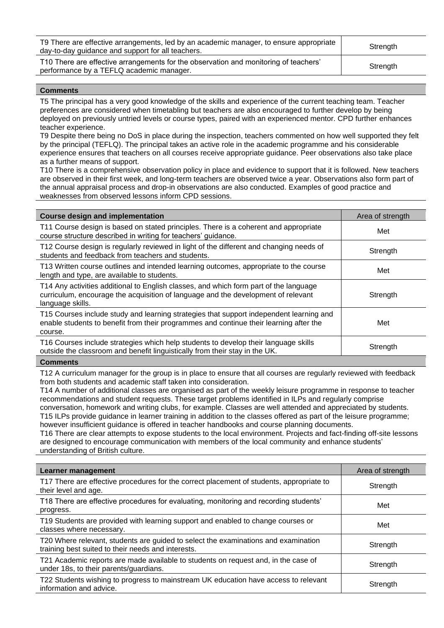| T9 There are effective arrangements, led by an academic manager, to ensure appropriate<br>day-to-day guidance and support for all teachers. | Strength |
|---------------------------------------------------------------------------------------------------------------------------------------------|----------|
| T10 There are effective arrangements for the observation and monitoring of teachers'<br>performance by a TEFLQ academic manager.            | Strength |

T5 The principal has a very good knowledge of the skills and experience of the current teaching team. Teacher preferences are considered when timetabling but teachers are also encouraged to further develop by being deployed on previously untried levels or course types, paired with an experienced mentor. CPD further enhances teacher experience.

T9 Despite there being no DoS in place during the inspection, teachers commented on how well supported they felt by the principal (TEFLQ). The principal takes an active role in the academic programme and his considerable experience ensures that teachers on all courses receive appropriate guidance. Peer observations also take place as a further means of support.

T10 There is a comprehensive observation policy in place and evidence to support that it is followed. New teachers are observed in their first week, and long-term teachers are observed twice a year. Observations also form part of the annual appraisal process and drop-in observations are also conducted. Examples of good practice and weaknesses from observed lessons inform CPD sessions.

| <b>Course design and implementation</b>                                                                                                                                                        | Area of strength |
|------------------------------------------------------------------------------------------------------------------------------------------------------------------------------------------------|------------------|
| T11 Course design is based on stated principles. There is a coherent and appropriate<br>course structure described in writing for teachers' guidance.                                          | Met              |
| T12 Course design is regularly reviewed in light of the different and changing needs of<br>students and feedback from teachers and students.                                                   | Strength         |
| T13 Written course outlines and intended learning outcomes, appropriate to the course<br>length and type, are available to students.                                                           | Met              |
| T14 Any activities additional to English classes, and which form part of the language<br>curriculum, encourage the acquisition of language and the development of relevant<br>language skills. | Strength         |
| T15 Courses include study and learning strategies that support independent learning and<br>enable students to benefit from their programmes and continue their learning after the<br>course.   | Met              |
| T16 Courses include strategies which help students to develop their language skills<br>outside the classroom and benefit linguistically from their stay in the UK.                             | Strength         |
| $P$ $\alpha$ mm $\alpha$ nto                                                                                                                                                                   |                  |

# **Comments**

T12 A curriculum manager for the group is in place to ensure that all courses are regularly reviewed with feedback from both students and academic staff taken into consideration.

T14 A number of additional classes are organised as part of the weekly leisure programme in response to teacher recommendations and student requests. These target problems identified in ILPs and regularly comprise conversation, homework and writing clubs, for example. Classes are well attended and appreciated by students. T15 ILPs provide guidance in learner training in addition to the classes offered as part of the leisure programme; however insufficient guidance is offered in teacher handbooks and course planning documents.

T16 There are clear attempts to expose students to the local environment. Projects and fact-finding off-site lessons are designed to encourage communication with members of the local community and enhance students' understanding of British culture.

| <b>Learner management</b>                                                                                                                | Area of strength |
|------------------------------------------------------------------------------------------------------------------------------------------|------------------|
| T17 There are effective procedures for the correct placement of students, appropriate to<br>their level and age.                         | Strength         |
| T18 There are effective procedures for evaluating, monitoring and recording students'<br>progress.                                       | Met              |
| T19 Students are provided with learning support and enabled to change courses or<br>classes where necessary.                             | Met              |
| T20 Where relevant, students are guided to select the examinations and examination<br>training best suited to their needs and interests. | Strength         |
| T21 Academic reports are made available to students on request and, in the case of<br>under 18s, to their parents/guardians.             | Strength         |
| T22 Students wishing to progress to mainstream UK education have access to relevant<br>information and advice.                           | Strength         |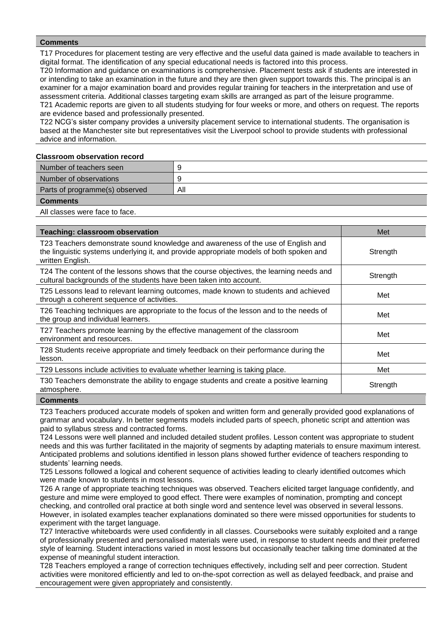T17 Procedures for placement testing are very effective and the useful data gained is made available to teachers in digital format. The identification of any special educational needs is factored into this process.

T20 Information and guidance on examinations is comprehensive. Placement tests ask if students are interested in or intending to take an examination in the future and they are then given support towards this. The principal is an examiner for a major examination board and provides regular training for teachers in the interpretation and use of assessment criteria. Additional classes targeting exam skills are arranged as part of the leisure programme. T21 Academic reports are given to all students studying for four weeks or more, and others on request. The reports are evidence based and professionally presented.

T22 NCG's sister company provides a university placement service to international students. The organisation is based at the Manchester site but representatives visit the Liverpool school to provide students with professional advice and information.

#### **Classroom observation record**

| Number of teachers seen        | -9  |
|--------------------------------|-----|
| Number of observations         | O   |
| Parts of programme(s) observed | All |
| <b>Comments</b>                |     |

All classes were face to face.

| <b>Teaching: classroom observation</b>                                                                                                                                                          | Met      |
|-------------------------------------------------------------------------------------------------------------------------------------------------------------------------------------------------|----------|
| T23 Teachers demonstrate sound knowledge and awareness of the use of English and<br>the linguistic systems underlying it, and provide appropriate models of both spoken and<br>written English. | Strength |
| T24 The content of the lessons shows that the course objectives, the learning needs and<br>cultural backgrounds of the students have been taken into account.                                   | Strength |
| T25 Lessons lead to relevant learning outcomes, made known to students and achieved<br>through a coherent sequence of activities.                                                               | Met      |
| T26 Teaching techniques are appropriate to the focus of the lesson and to the needs of<br>the group and individual learners.                                                                    | Met      |
| T27 Teachers promote learning by the effective management of the classroom<br>environment and resources.                                                                                        | Met      |
| T28 Students receive appropriate and timely feedback on their performance during the<br>lesson.                                                                                                 | Met      |
| T29 Lessons include activities to evaluate whether learning is taking place.                                                                                                                    | Met      |
| T30 Teachers demonstrate the ability to engage students and create a positive learning<br>atmosphere.                                                                                           | Strength |
| Commonts                                                                                                                                                                                        |          |

**Comment** 

T23 Teachers produced accurate models of spoken and written form and generally provided good explanations of grammar and vocabulary. In better segments models included parts of speech, phonetic script and attention was paid to syllabus stress and contracted forms.

T24 Lessons were well planned and included detailed student profiles. Lesson content was appropriate to student needs and this was further facilitated in the majority of segments by adapting materials to ensure maximum interest. Anticipated problems and solutions identified in lesson plans showed further evidence of teachers responding to students' learning needs.

T25 Lessons followed a logical and coherent sequence of activities leading to clearly identified outcomes which were made known to students in most lessons.

T26 A range of appropriate teaching techniques was observed. Teachers elicited target language confidently, and gesture and mime were employed to good effect. There were examples of nomination, prompting and concept checking, and controlled oral practice at both single word and sentence level was observed in several lessons. However, in isolated examples teacher explanations dominated so there were missed opportunities for students to experiment with the target language.

T27 Interactive whiteboards were used confidently in all classes. Coursebooks were suitably exploited and a range of professionally presented and personalised materials were used, in response to student needs and their preferred style of learning. Student interactions varied in most lessons but occasionally teacher talking time dominated at the expense of meaningful student interaction.

T28 Teachers employed a range of correction techniques effectively, including self and peer correction. Student activities were monitored efficiently and led to on-the-spot correction as well as delayed feedback, and praise and encouragement were given appropriately and consistently.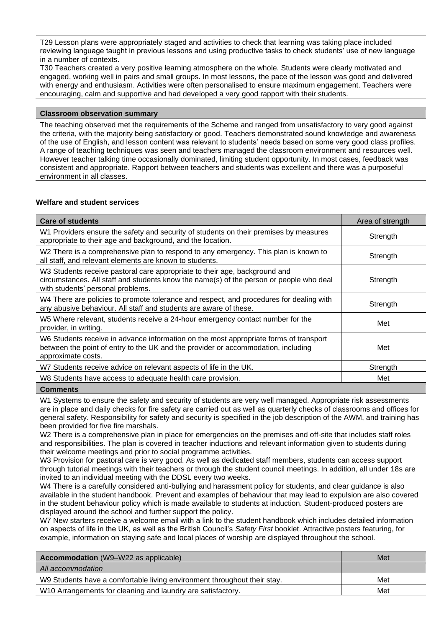T29 Lesson plans were appropriately staged and activities to check that learning was taking place included reviewing language taught in previous lessons and using productive tasks to check students' use of new language in a number of contexts.

T30 Teachers created a very positive learning atmosphere on the whole. Students were clearly motivated and engaged, working well in pairs and small groups. In most lessons, the pace of the lesson was good and delivered with energy and enthusiasm. Activities were often personalised to ensure maximum engagement. Teachers were encouraging, calm and supportive and had developed a very good rapport with their students.

# **Classroom observation summary**

The teaching observed met the requirements of the Scheme and ranged from unsatisfactory to very good against the criteria, with the majority being satisfactory or good. Teachers demonstrated sound knowledge and awareness of the use of English, and lesson content was relevant to students' needs based on some very good class profiles. A range of teaching techniques was seen and teachers managed the classroom environment and resources well. However teacher talking time occasionally dominated, limiting student opportunity. In most cases, feedback was consistent and appropriate. Rapport between teachers and students was excellent and there was a purposeful environment in all classes.

# **Welfare and student services**

| <b>Care of students</b>                                                                                                                                                                                    | Area of strength |
|------------------------------------------------------------------------------------------------------------------------------------------------------------------------------------------------------------|------------------|
| W1 Providers ensure the safety and security of students on their premises by measures<br>appropriate to their age and background, and the location.                                                        | Strength         |
| W2 There is a comprehensive plan to respond to any emergency. This plan is known to<br>all staff, and relevant elements are known to students.                                                             | Strength         |
| W3 Students receive pastoral care appropriate to their age, background and<br>circumstances. All staff and students know the name(s) of the person or people who deal<br>with students' personal problems. | Strength         |
| W4 There are policies to promote tolerance and respect, and procedures for dealing with<br>any abusive behaviour. All staff and students are aware of these.                                               | Strength         |
| W5 Where relevant, students receive a 24-hour emergency contact number for the<br>provider, in writing.                                                                                                    | Met              |
| W6 Students receive in advance information on the most appropriate forms of transport<br>between the point of entry to the UK and the provider or accommodation, including<br>approximate costs.           | Met              |
| W7 Students receive advice on relevant aspects of life in the UK.                                                                                                                                          | Strength         |
| W8 Students have access to adequate health care provision.                                                                                                                                                 | Met              |
| $P = 1$                                                                                                                                                                                                    |                  |

# **Comments**

W1 Systems to ensure the safety and security of students are very well managed. Appropriate risk assessments are in place and daily checks for fire safety are carried out as well as quarterly checks of classrooms and offices for general safety. Responsibility for safety and security is specified in the job description of the AWM, and training has been provided for five fire marshals.

W2 There is a comprehensive plan in place for emergencies on the premises and off-site that includes staff roles and responsibilities. The plan is covered in teacher inductions and relevant information given to students during their welcome meetings and prior to social programme activities.

W3 Provision for pastoral care is very good. As well as dedicated staff members, students can access support through tutorial meetings with their teachers or through the student council meetings. In addition, all under 18s are invited to an individual meeting with the DDSL every two weeks.

W4 There is a carefully considered anti-bullying and harassment policy for students, and clear guidance is also available in the student handbook. Prevent and examples of behaviour that may lead to expulsion are also covered in the student behaviour policy which is made available to students at induction. Student-produced posters are displayed around the school and further support the policy.

W7 New starters receive a welcome email with a link to the student handbook which includes detailed information on aspects of life in the UK, as well as the British Council's *Safety First* booklet. Attractive posters featuring, for example, information on staying safe and local places of worship are displayed throughout the school.

| <b>Accommodation</b> (W9–W22 as applicable)                              | Met |
|--------------------------------------------------------------------------|-----|
| All accommodation                                                        |     |
| W9 Students have a comfortable living environment throughout their stay. | Met |
| W10 Arrangements for cleaning and laundry are satisfactory.              | Met |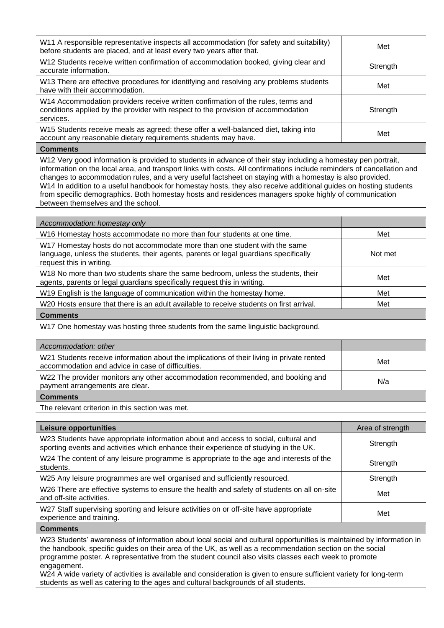| W11 A responsible representative inspects all accommodation (for safety and suitability)<br>before students are placed, and at least every two years after that.                   | Met      |
|------------------------------------------------------------------------------------------------------------------------------------------------------------------------------------|----------|
| W12 Students receive written confirmation of accommodation booked, giving clear and<br>accurate information.                                                                       | Strength |
| W13 There are effective procedures for identifying and resolving any problems students<br>have with their accommodation.                                                           | Met      |
| W14 Accommodation providers receive written confirmation of the rules, terms and<br>conditions applied by the provider with respect to the provision of accommodation<br>services. | Strength |
| W15 Students receive meals as agreed; these offer a well-balanced diet, taking into<br>account any reasonable dietary requirements students may have.                              | Met      |
| <b>Comments</b>                                                                                                                                                                    |          |

W12 Very good information is provided to students in advance of their stay including a homestay pen portrait, information on the local area, and transport links with costs. All confirmations include reminders of cancellation and changes to accommodation rules, and a very useful factsheet on staying with a homestay is also provided. W14 In addition to a useful handbook for homestay hosts, they also receive additional quides on hosting students from specific demographics. Both homestay hosts and residences managers spoke highly of communication between themselves and the school.

| Accommodation: homestay only                                                                                                                                                                  |         |
|-----------------------------------------------------------------------------------------------------------------------------------------------------------------------------------------------|---------|
| W16 Homestay hosts accommodate no more than four students at one time.                                                                                                                        | Met     |
| W17 Homestay hosts do not accommodate more than one student with the same<br>language, unless the students, their agents, parents or legal guardians specifically<br>request this in writing. | Not met |
| W18 No more than two students share the same bedroom, unless the students, their<br>agents, parents or legal guardians specifically request this in writing.                                  | Met     |
| W19 English is the language of communication within the homestay home.                                                                                                                        | Met     |
| W <sub>20</sub> Hosts ensure that there is an adult available to receive students on first arrival.                                                                                           | Met     |
| <b>Comments</b>                                                                                                                                                                               |         |
| W17 One homestay was hosting three students from the same linguistic background.                                                                                                              |         |
|                                                                                                                                                                                               |         |
| Accommodation: other                                                                                                                                                                          |         |
| W21 Students receive information about the implications of their living in private rented<br>accommodation and advice in case of difficulties.                                                | Met     |
| W22 The provider monitors any other accommodation recommended, and booking and<br>payment arrangements are clear.                                                                             | N/a     |

**Comments**

The relevant criterion in this section was met.

| <b>Leisure opportunities</b>                                                                                                                                               | Area of strength |
|----------------------------------------------------------------------------------------------------------------------------------------------------------------------------|------------------|
| W23 Students have appropriate information about and access to social, cultural and<br>sporting events and activities which enhance their experience of studying in the UK. | Strength         |
| W24 The content of any leisure programme is appropriate to the age and interests of the<br>students.                                                                       | Strength         |
| W25 Any leisure programmes are well organised and sufficiently resourced.                                                                                                  | Strength         |
| W26 There are effective systems to ensure the health and safety of students on all on-site<br>and off-site activities.                                                     | Met              |
| W27 Staff supervising sporting and leisure activities on or off-site have appropriate<br>experience and training.                                                          | Met              |

**Comments**

W23 Students' awareness of information about local social and cultural opportunities is maintained by information in the handbook, specific guides on their area of the UK, as well as a recommendation section on the social programme poster. A representative from the student council also visits classes each week to promote engagement.

W24 A wide variety of activities is available and consideration is given to ensure sufficient variety for long-term students as well as catering to the ages and cultural backgrounds of all students.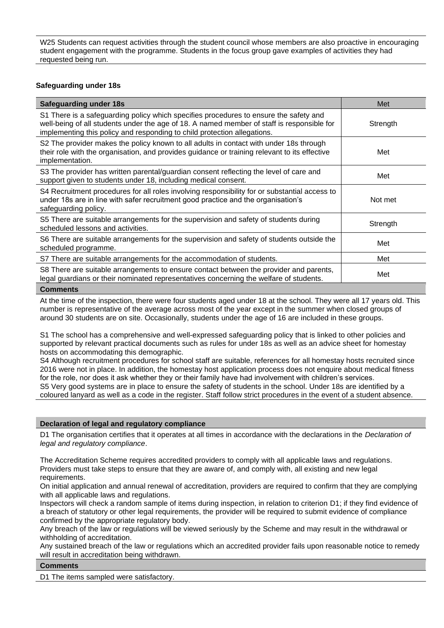W25 Students can request activities through the student council whose members are also proactive in encouraging student engagement with the programme. Students in the focus group gave examples of activities they had requested being run.

# **Safeguarding under 18s**

| <b>Safeguarding under 18s</b>                                                                                                                                                                                                                                   | Met      |
|-----------------------------------------------------------------------------------------------------------------------------------------------------------------------------------------------------------------------------------------------------------------|----------|
| S1 There is a safeguarding policy which specifies procedures to ensure the safety and<br>well-being of all students under the age of 18. A named member of staff is responsible for<br>implementing this policy and responding to child protection allegations. | Strength |
| S2 The provider makes the policy known to all adults in contact with under 18s through<br>their role with the organisation, and provides guidance or training relevant to its effective<br>implementation.                                                      | Met      |
| S3 The provider has written parental/guardian consent reflecting the level of care and<br>support given to students under 18, including medical consent.                                                                                                        | Met      |
| S4 Recruitment procedures for all roles involving responsibility for or substantial access to<br>under 18s are in line with safer recruitment good practice and the organisation's<br>safeguarding policy.                                                      | Not met  |
| S5 There are suitable arrangements for the supervision and safety of students during<br>scheduled lessons and activities.                                                                                                                                       | Strength |
| S6 There are suitable arrangements for the supervision and safety of students outside the<br>scheduled programme.                                                                                                                                               | Met      |
| S7 There are suitable arrangements for the accommodation of students.                                                                                                                                                                                           | Met      |
| S8 There are suitable arrangements to ensure contact between the provider and parents,<br>legal guardians or their nominated representatives concerning the welfare of students.                                                                                | Met      |
|                                                                                                                                                                                                                                                                 |          |

# **Comments**

At the time of the inspection, there were four students aged under 18 at the school. They were all 17 years old. This number is representative of the average across most of the year except in the summer when closed groups of around 30 students are on site. Occasionally, students under the age of 16 are included in these groups.

S1 The school has a comprehensive and well-expressed safeguarding policy that is linked to other policies and supported by relevant practical documents such as rules for under 18s as well as an advice sheet for homestay hosts on accommodating this demographic.

S4 Although recruitment procedures for school staff are suitable, references for all homestay hosts recruited since 2016 were not in place. In addition, the homestay host application process does not enquire about medical fitness for the role, nor does it ask whether they or their family have had involvement with children's services. S5 Very good systems are in place to ensure the safety of students in the school. Under 18s are identified by a coloured lanyard as well as a code in the register. Staff follow strict procedures in the event of a student absence.

# **Declaration of legal and regulatory compliance**

D1 The organisation certifies that it operates at all times in accordance with the declarations in the *Declaration of legal and regulatory compliance*.

The Accreditation Scheme requires accredited providers to comply with all applicable laws and regulations. Providers must take steps to ensure that they are aware of, and comply with, all existing and new legal requirements.

On initial application and annual renewal of accreditation, providers are required to confirm that they are complying with all applicable laws and regulations.

Inspectors will check a random sample of items during inspection, in relation to criterion D1; if they find evidence of a breach of statutory or other legal requirements, the provider will be required to submit evidence of compliance confirmed by the appropriate regulatory body.

Any breach of the law or regulations will be viewed seriously by the Scheme and may result in the withdrawal or withholding of accreditation.

Any sustained breach of the law or regulations which an accredited provider fails upon reasonable notice to remedy will result in accreditation being withdrawn.

# **Comments**

D1 The items sampled were satisfactory.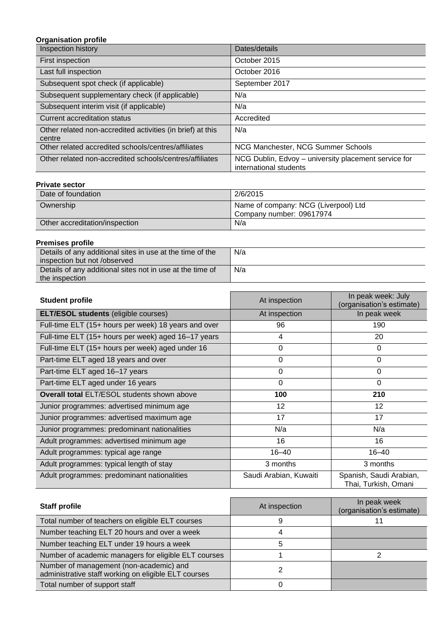# **Organisation profile**

| Inspection history                                                   | Dates/details                                                                  |
|----------------------------------------------------------------------|--------------------------------------------------------------------------------|
| First inspection                                                     | October 2015                                                                   |
| Last full inspection                                                 | October 2016                                                                   |
| Subsequent spot check (if applicable)                                | September 2017                                                                 |
| Subsequent supplementary check (if applicable)                       | N/a                                                                            |
| Subsequent interim visit (if applicable)                             | N/a                                                                            |
| Current accreditation status                                         | Accredited                                                                     |
| Other related non-accredited activities (in brief) at this<br>centre | N/a                                                                            |
| Other related accredited schools/centres/affiliates                  | NCG Manchester, NCG Summer Schools                                             |
| Other related non-accredited schools/centres/affiliates              | NCG Dublin, Edvoy - university placement service for<br>international students |

# **Private sector**

| Date of foundation             | 2/6/2015                                                         |
|--------------------------------|------------------------------------------------------------------|
| Ownership                      | Name of company: NCG (Liverpool) Ltd<br>Company number: 09617974 |
| Other accreditation/inspection | N/a                                                              |

# **Premises profile**

| .                                                         |     |
|-----------------------------------------------------------|-----|
| Details of any additional sites in use at the time of the | N/a |
| inspection but not /observed                              |     |
| Details of any additional sites not in use at the time of | N/a |
| the inspection                                            |     |

| <b>Student profile</b>                               | At inspection          | In peak week: July<br>(organisation's estimate) |
|------------------------------------------------------|------------------------|-------------------------------------------------|
| <b>ELT/ESOL students (eligible courses)</b>          | At inspection          | In peak week                                    |
| Full-time ELT (15+ hours per week) 18 years and over | 96                     | 190                                             |
| Full-time ELT (15+ hours per week) aged 16-17 years  | 4                      | 20                                              |
| Full-time ELT (15+ hours per week) aged under 16     | 0                      | $\Omega$                                        |
| Part-time ELT aged 18 years and over                 | 0                      | $\Omega$                                        |
| Part-time ELT aged 16-17 years                       | $\Omega$               | $\Omega$                                        |
| Part-time ELT aged under 16 years                    | $\Omega$               | $\Omega$                                        |
| <b>Overall total ELT/ESOL students shown above</b>   | 100                    | 210                                             |
| Junior programmes: advertised minimum age            | 12                     | 12                                              |
| Junior programmes: advertised maximum age            | 17                     | 17                                              |
| Junior programmes: predominant nationalities         | N/a                    | N/a                                             |
| Adult programmes: advertised minimum age             | 16                     | 16                                              |
| Adult programmes: typical age range                  | $16 - 40$              | $16 - 40$                                       |
| Adult programmes: typical length of stay             | 3 months               | 3 months                                        |
| Adult programmes: predominant nationalities          | Saudi Arabian, Kuwaiti | Spanish, Saudi Arabian,<br>Thai, Turkish, Omani |

| <b>Staff profile</b>                                                                            | At inspection | In peak week<br>(organisation's estimate) |
|-------------------------------------------------------------------------------------------------|---------------|-------------------------------------------|
| Total number of teachers on eligible ELT courses                                                | 9             |                                           |
| Number teaching ELT 20 hours and over a week                                                    |               |                                           |
| Number teaching ELT under 19 hours a week                                                       |               |                                           |
| Number of academic managers for eligible ELT courses                                            |               |                                           |
| Number of management (non-academic) and<br>administrative staff working on eligible ELT courses |               |                                           |
| Total number of support staff                                                                   |               |                                           |